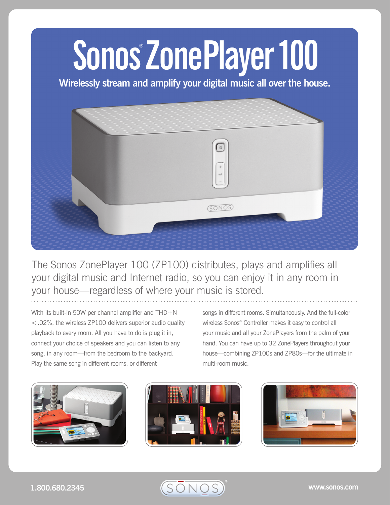## **Sonos® ZonePlayer 100**

**Wirelessly stream and amplify your digital music all over the house.** 



The Sonos ZonePlayer 100 (ZP100) distributes, plays and amplifies all your digital music and Internet radio, so you can enjoy it in any room in your house—regardless of where your music is stored.

With its built-in 50W per channel amplifier and THD+N < .02%, the wireless ZP100 delivers superior audio quality playback to every room. All you have to do is plug it in, connect your choice of speakers and you can listen to any song, in any room—from the bedroom to the backyard. Play the same song in different rooms, or different

songs in different rooms. Simultaneously. And the full-color wireless Sonos® Controller makes it easy to control all your music and all your ZonePlayers from the palm of your hand. You can have up to 32 ZonePlayers throughout your house—combining ZP100s and ZP80s—for the ultimate in multi-room music.